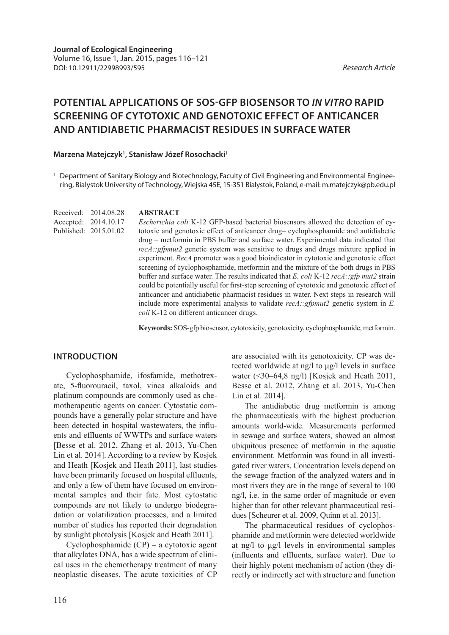# **POTENTIAL APPLICATIONS OF SOS-GFP BIOSENSOR TO** *IN VITRO* **RAPID SCREENING OF CYTOTOXIC AND GENOTOXIC EFFECT OF ANTICANCER AND ANTIDIABETIC PHARMACIST RESIDUES IN SURFACE WATER**

# Marzena Matejczyk<sup>1</sup>, Stanisław Józef Rosochacki<sup>1</sup>

<sup>1</sup> Department of Sanitary Biology and Biotechnology, Faculty of Civil Engineering and Environmental Engineering, Bialystok University of Technology, Wiejska 45E, 15-351 Bialystok, Poland, e-mail: m.matejczyk@pb.edu.pl

Received: 2014.08.28 Accepted: 2014.10.17 Published: 2015.01.02

# **ABSTRACT**

*Escherichia coli* K-12 GFP-based bacterial biosensors allowed the detection of cytotoxic and genotoxic effect of anticancer drug– cyclophosphamide and antidiabetic drug – metformin in PBS buffer and surface water. Experimental data indicated that *recA::gfpmut2* genetic system was sensitive to drugs and drugs mixture applied in experiment. *RecA* promoter was a good bioindicator in cytotoxic and genotoxic effect screening of cyclophosphamide, metformin and the mixture of the both drugs in PBS buffer and surface water. The results indicated that *E. coli* K-12 *recA::gfp mut2* strain could be potentially useful for first-step screening of cytotoxic and genotoxic effect of anticancer and antidiabetic pharmacist residues in water. Next steps in research will include more experimental analysis to validate *recA::gfpmut2* genetic system in *E. coli* K-12 on different anticancer drugs.

**Keywords:** SOS-gfp biosensor, cytotoxicity, genotoxicity, cyclophosphamide, metformin.

# **INTRODUCTION**

Cyclophosphamide, ifosfamide, methotrexate, 5-fluorouracil, taxol, vinca alkaloids and platinum compounds are commonly used as chemotherapeutic agents on cancer. Cytostatic compounds have a generally polar structure and have been detected in hospital wastewaters, the influents and effluents of WWTPs and surface waters [Besse et al. 2012, Zhang et al. 2013, Yu-Chen Lin et al. 2014]. According to a review by Kosjek and Heath [Kosjek and Heath 2011], last studies have been primarily focused on hospital effluents, and only a few of them have focused on environmental samples and their fate. Most cytostatic compounds are not likely to undergo biodegradation or volatilization processes, and a limited number of studies has reported their degradation by sunlight photolysis [Kosjek and Heath 2011].

Cyclophosphamide (CP) – a cytotoxic agent that alkylates DNA, has a wide spectrum of clinical uses in the chemotherapy treatment of many neoplastic diseases. The acute toxicities of CP are associated with its genotoxicity. CP was detected worldwide at ng/l to μg/l levels in surface water (<30–64,8 ng/l) [Kosjek and Heath 2011, Besse et al. 2012, Zhang et al. 2013, Yu-Chen Lin et al. 2014].

The antidiabetic drug metformin is among the pharmaceuticals with the highest production amounts world-wide. Measurements performed in sewage and surface waters, showed an almost ubiquitous presence of metformin in the aquatic environment. Metformin was found in all investigated river waters. Concentration levels depend on the sewage fraction of the analyzed waters and in most rivers they are in the range of several to 100 ng/l, i.e. in the same order of magnitude or even higher than for other relevant pharmaceutical residues [Scheurer et al. 2009, Quinn et al. 2013].

The pharmaceutical residues of cyclophosphamide and metformin were detected worldwide at ng/l to μg/l levels in environmental samples (influents and effluents, surface water). Due to their highly potent mechanism of action (they directly or indirectly act with structure and function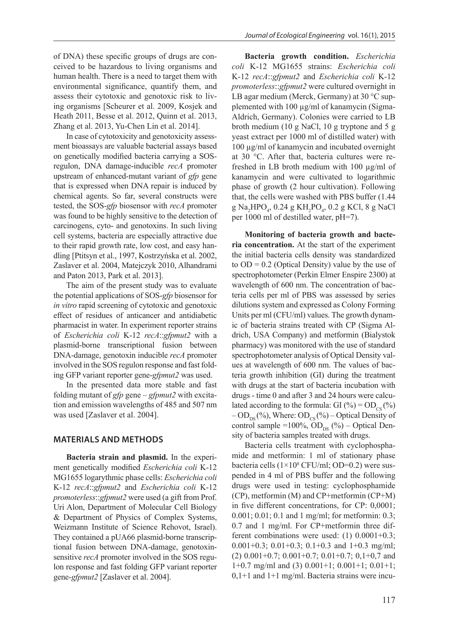of DNA) these specific groups of drugs are conceived to be hazardous to living organisms and human health. There is a need to target them with environmental significance, quantify them, and assess their cytotoxic and genotoxic risk to living organisms [Scheurer et al. 2009, Kosjek and Heath 2011, Besse et al. 2012, Quinn et al. 2013, Zhang et al. 2013, Yu-Chen Lin et al. 2014].

In case of cytotoxicity and genotoxicity assessment bioassays are valuable bacterial assays based on genetically modified bacteria carrying a SOSregulon, DNA damage-inducible *recA* promoter upstream of enhanced-mutant variant of *gfp* gene that is expressed when DNA repair is induced by chemical agents. So far, several constructs were tested, the SOS-*gfp* biosensor with *recA* promoter was found to be highly sensitive to the detection of carcinogens, cyto- and genotoxins. In such living cell systems, bacteria are especially attractive due to their rapid growth rate, low cost, and easy handling [Ptitsyn et al., 1997, Kostrzyńska et al. 2002, Zaslaver et al. 2004, Matejczyk 2010, Alhandrami and Paton 2013, Park et al. 2013].

The aim of the present study was to evaluate the potential applications of SOS-*gfp* biosensor for *in vitro* rapid screening of cytotoxic and genotoxic effect of residues of anticancer and antidiabetic pharmacist in water. In experiment reporter strains of *Escherichia coli* K-12 *recA*::*gfpmut2* with a plasmid-borne transcriptional fusion between DNA-damage, genotoxin inducible *recA* promoter involved in the SOS regulon response and fast folding GFP variant reporter gene-*gfpmut2* was used.

In the presented data more stable and fast folding mutant of *gfp* gene – *gfpmut2* with excitation and emission wavelengths of 485 and 507 nm was used [Zaslaver et al. 2004].

# **MATERIALS AND METHODS**

**Bacteria strain and plasmid.** In the experiment genetically modified *Escherichia coli* K-12 MG1655 logarythmic phase cells: *Escherichia coli* K-12 *recA*::*gfpmut2* and *Escherichia coli* K-12 *promoterless*::*gfpmut2* were used (a gift from Prof. Uri Alon, Department of Molecular Cell Biology & Department of Physics of Complex Systems, Weizmann Institute of Science Rehovot, Israel). They contained a pUA66 plasmid-borne transcriptional fusion between DNA-damage, genotoxinsensitive *recA* promoter involved in the SOS regulon response and fast folding GFP variant reporter gene-*gfpmut2* [Zaslaver et al. 2004].

**Bacteria growth condition.** *Escherichia coli* K-12 MG1655 strains: *Escherichia coli* K-12 *recA*::*gfpmut2* and *Escherichia coli* K-12 *promoterless*::*gfpmut2* were cultured overnight in LB agar medium (Merck, Germany) at 30 °C supplemented with 100 µg/ml of kanamycin (Sigma-Aldrich, Germany). Colonies were carried to LB broth medium (10 g NaCl, 10 g tryptone and 5 g yeast extract per 1000 ml of distilled water) with 100 µg/ml of kanamycin and incubated overnight at 30 °C. After that, bacteria cultures were refreshed in LB broth medium with 100 µg/ml of kanamycin and were cultivated to logarithmic phase of growth (2 hour cultivation). Following that, the cells were washed with PBS buffer (1.44  $g Na<sub>2</sub>HPO<sub>4</sub>, 0.24 g KH<sub>2</sub>PO<sub>4</sub>, 0.2 g KCl, 8 g NaCl$ per 1000 ml of destilled water, pH=7).

**Monitoring of bacteria growth and bacteria concentration.** At the start of the experiment the initial bacteria cells density was standardized to  $OD = 0.2$  (Optical Density) value by the use of spectrophotometer (Perkin Elmer Enspire 2300) at wavelength of 600 nm. The concentration of bacteria cells per ml of PBS was assessed by series dilutions system and expressed as Colony Forming Units per ml (CFU/ml) values. The growth dynamic of bacteria strains treated with CP (Sigma Aldrich, USA Company) and metformin (Bialystok pharmacy) was monitored with the use of standard spectrophotometer analysis of Optical Density values at wavelength of 600 nm. The values of bacteria growth inhibition (GI) during the treatment with drugs at the start of bacteria incubation with drugs - time 0 and after 3 and 24 hours were calculated according to the formula: GI  $(\%)=OD_{cs}(\%)$  $-\text{OD}_{\text{DS}}(\%)$ , Where:  $\text{OD}_{\text{CS}}(\%)$  – Optical Density of control sample =100%,  $\overline{OD}_{DS}$  (%) – Optical Density of bacteria samples treated with drugs.

Bacteria cells treatment with cyclophosphamide and metformin: 1 ml of stationary phase bacteria cells  $(1\times10^8 \text{ CFU/ml}; \text{OD}=0.2)$  were suspended in 4 ml of PBS buffer and the following drugs were used in testing: cyclophosphamide (CP), metformin (M) and CP+metformin (CP+M) in five different concentrations, for CP: 0,0001; 0.001; 0.01; 0.1 and 1 mg/ml; for metformin: 0.3; 0.7 and 1 mg/ml. For CP+metformin three different combinations were used: (1) 0.0001+0.3; 0.001+0.3; 0.01+0.3; 0.1+0.3 and 1+0.3 mg/ml; (2) 0.001+0.7; 0.001+0.7; 0.01+0.7; 0,1+0,7 and 1+0.7 mg/ml and (3) 0.001+1; 0.001+1; 0.01+1;  $0.1+1$  and  $1+1$  mg/ml. Bacteria strains were incu-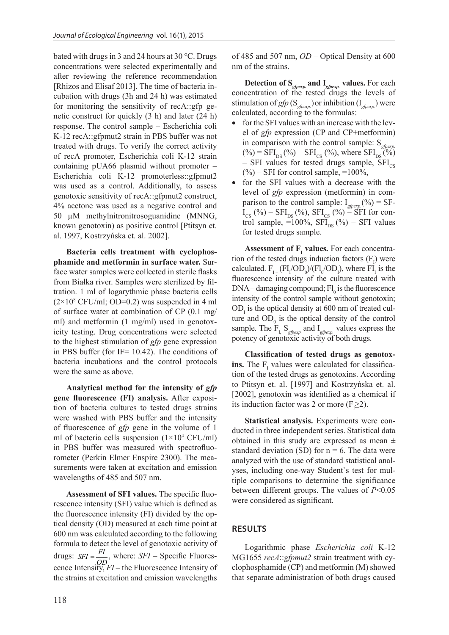bated with drugs in 3 and 24 hours at 30 °C. Drugs concentrations were selected experimentally and after reviewing the reference recommendation [Rhizos and Elisaf 2013]. The time of bacteria incubation with drugs (3h and 24 h) was estimated for monitoring the sensitivity of recA::gfp genetic construct for quickly (3 h) and later (24 h) response. The control sample – Escherichia coli K-12 recA::gfpmut2 strain in PBS buffer was not treated with drugs. To verify the correct activity of recA promoter, Escherichia coli K-12 strain containing pUA66 plasmid without promoter – Escherichia coli K-12 promoterless::gfpmut2  $\binom{(20)-3}{6}$ was used as a control. Additionally, to assess  $\bullet$  for the level of genotoxic sensitivity of recA::gfpmut2 construct,  $\frac{24}{9}$  acetone was used as a negative control and parison 50  $\mu$ M methylnitronitrosoguanidine (MNNG,  $\frac{1}{\cos(1/2)}$ known genotoxin) as positive control [Ptitsyn et.  $\frac{1001 \text{ Sal}}{24}$ al. 1997, Kostrzyńska et. al. 2002].

**Bacteria cells treatment with cyclophos**phamide and metformin in surface water. Sur-<br>coloulated face water samples were collected in sterile flasks from Białka river. Samples were sterilized by fil-<br>fluorescence tration. 1 ml of logarythmic phase bacteria cells **DNA**-dan  $(2 \times 10^8 \text{ CFU/ml}; \text{OD=0.2})$  was suspended in 4 ml of surface water at combination of CP  $(0.1 \text{ mg/m})$  was used as a control of CP  $(0.1 \text{ mg/m})$ ml) and metformin (1 mg/ml) used in genotoxicity testing. Drug concentrations were selected sample. The to the highest stimulation of  $gfp$  gene expression potency of in PBS buffer (for  $IF = 10.42$ ). The conditions of bacteria incubations and the control protocols **ins.** The F were the same as above.  $S = \frac{1}{2}$  samples were collected in sterile flash river. Samples  $\frac{1}{2}$  river.

Analytical method for the intensity of  $gfp$  is  $\frac{10 \text{ FUsyn}}{50001 \text{ cm}}$ **gene fluorescence (FI) analysis.** After exposi-<br>its induction tion of bacteria cultures to tested drugs strains were washed with PBS buffer and the intensity  $\overrightarrow{S}$  Statist of fluorescence of *gfp* gene in the volume of 1  $\theta$  ducted in the conditions of back of  $\theta$ ml of bacteria cells suspension  $(1\times10^4 \text{ CFU/ml})$ in PBS buffer was measured with spectrofluorometer (Perkin Elmer Enspire 2300). The mea-<br>analyzed v surements were taken at excitation and emission  $\frac{1}{x}$  vees inclusion wavelengths of 485 and 507 nm.  $\frac{1}{2}$  in the com

**Assessment of SFI values.** The specific fluo-<br>between d rescence intensity (SFI) value which is defined as  $\frac{v}{x}$ the fluorescence intensity (FI) divided by the optical density  $(OD)$  measured at each time point at **RESULTS** 600 nm was calculated according to the following formula to detect the level of genotoxic activity of  $\overline{p}$ drugs:  $SFI = \frac{FI}{OD}$ , where:  $SFI$  – Specific Fluores-<br>MG1655 the strains at excitation and emission wavelengths that separation and  $\frac{1}{8}$ cence Intensity, *FI* – the Fluorescence Intensity of

of 485 and 507 nm, *OD* – Optical Density at 600 nm of the strains.

**Detection of S***gfpexp.* **and I***gfpexp.* **values.** For each concentration of the tested drugs the levels of stimulation of *gfp* ( $S_{g/pcxp}$ ) or inhibition ( $I_{g/pcxp}$ ) were calculated, according to the formulas:

- for the SFI values with an increase with the level of *gfp* expression (CP and CP+metformin) in comparison with the control sample: S<sub>gpexp.</sub>  $(\%) = \text{SFI}_{\text{DS}}(\%)-\text{SFI}_{\text{CS}}(\%),$  where  $\text{SFI}_{\text{DS}}(\%)$ – SFI values for tested drugs sample,  $\text{SFI}_{\text{cs}}$  $(\%)-$  SFI for control sample, =100%,
- for the SFI values with a decrease with the level of *gfp* expression (metformin) in comparison to the control sample:  $I_{\text{gfpexp}}(% )$  = SF- $I_{CS}$  (%) – SFI<sub>DS</sub> (%), SFI<sub>CS</sub> (%) – SFI for control sample,  $=100\%$ ,  $SFI_{DS}$  (%) – SFI values for tested drugs sample.

**Assessment of**  $\mathbf{F}_{\text{I}}$  **values.** For each concentration of the tested drugs induction factors  $(F_1)$  were calculated.  $F_{I} = (FI_{I}/OD_{0})/(FI_{0}/OD_{I})$ , where  $FI_{I}$  is the fluorescence intensity of the culture treated with  $DNA$  – damaging compound;  $FI$ <sub>0</sub> is the fluorescence intensity of the control sample without genotoxin;  $OD<sub>1</sub>$  is the optical density at 600 nm of treated culture and  $OD_0$  is the optical density of the control sample. The FI, S*gfpexp.* and I*gfpexp.* values express the potency of genotoxic activity of both drugs.

**Classification of tested drugs as genotoxins.** The  $F_1$  values were calculated for classification of the tested drugs as genotoxins. According to Ptitsyn et. al. [1997] and Kostrzyńska et. al. [2002], genotoxin was identified as a chemical if its induction factor was 2 or more  $(F_1 \geq 2)$ .

**Statistical analysis.** Experiments were conducted in three independent series. Statistical data obtained in this study are expressed as mean *±*  standard deviation (SD) for  $n = 6$ . The data were analyzed with the use of standard statistical analyses, including one-way Student`s test for multiple comparisons to determine the significance between different groups. The values of *P*<0.05 were considered as significant.

# **RESULTS**

Logarithmic phase *Escherichia coli* K-12 MG1655 *recA*::*gfpmut2* strain treatment with cyclophosphamide (CP) and metformin (M) showed that separate administration of both drugs caused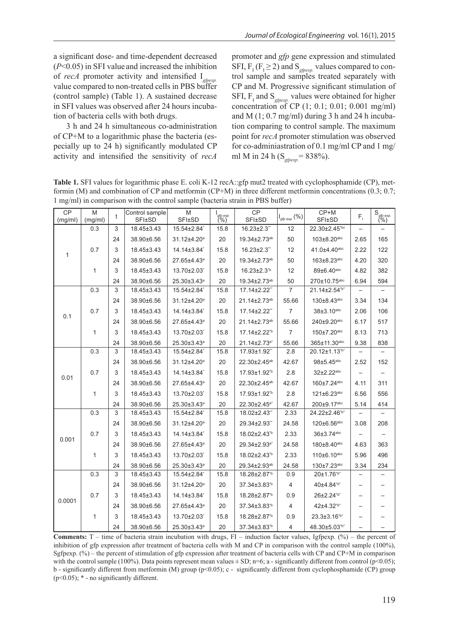a significant dose- and time-dependent decreased (*P*<0.05) in SFI value and increased the inhibition of *recA* promoter activity and intensified I*gfpexp.* value compared to non-treated cells in PBS buffer (control sample) (Table 1). A sustained decrease in SFI values was observed after 24 hours incubation of bacteria cells with both drugs.

3 h and 24 h simultaneous co-administration of CP+M to a logarithmic phase the bacteria (especially up to 24 h) significantly modulated CP activity and intensified the sensitivity of *recA* promoter and *gfp* gene expression and stimulated SFI,  $F_I$  ( $F_I \geq 2$ ) and S<sub>gfpexp.</sub> values compared to control sample and samples treated separately with CP and M. Progressive significant stimulation of SFI,  $F_I$  and  $S_{g\ell p \epsilon x p}$  values were obtained for higher concentration of CP (1; 0.1; 0.01; 0.001 mg/ml) and M  $(1; 0.7$  mg/ml) during 3 h and 24 h incubation comparing to control sample. The maximum point for *recA* promoter stimulation was observed for co-adminiastration of 0.1 mg/ml CP and 1 mg/ ml M in 24 h (S*gfpexp.*= 838%).

**Table 1.** SFI values for logarithmic phase E. coli K-12 recA::gfp mut2 treated with cyclophosphamide (CP), metformin (M) and combination of CP and metformin (CP+M) in three different metformin concentrations (0.3; 0.7; 1 mg/ml) in comparison with the control sample (bacteria strain in PBS buffer)

| CP<br>(mg/ml) | M<br>(mg/ml) | t           | Control sample<br><b>SFI±SD</b> | M<br><b>SFI±SD</b>      | gfp exp<br>(%) | CP<br><b>SFI±SD</b>            | $I_{gfp\;exp}$ $(\%)$ | $CP+M$<br><b>SFI±SD</b>        | $F_{\rm i}$ | $S_{\text{gfp} \text{ exp.}}$ $\frac{(9/6)}{2}$ |
|---------------|--------------|-------------|---------------------------------|-------------------------|----------------|--------------------------------|-----------------------|--------------------------------|-------------|-------------------------------------------------|
| 1             | 0.3          | 3           | 18.45±3.43                      | 15.54±2.84              | 15.8           | $16.23 \pm 2.3$ "              | 12                    | 22.30±2.45*bc                  |             |                                                 |
|               |              | 24          | 38.90±6.56                      | 31.12±4.20 <sup>a</sup> | 20             | 19.34±2.73ab                   | 50                    | $103 \pm 8.20$ abc             | 2.65        | 165                                             |
|               | 0.7          | 3           | 18.45±3.43                      | 14.14±3.84*             | 15.8           | $16.23 \pm 2.3$ "              | 12                    | 41.0±4.40abc                   | 2.22        | 122                                             |
|               |              | 24          | 38.90±6.56                      | 27.65±4.43ª             | 20             | 19.34±2.73ab                   | 50                    | $163 \pm 8.23$ <sup>abc</sup>  | 4.20        | 320                                             |
|               | 1            | 3           | 18.45±3.43                      | 13.70±2.03              | 15.8           | 16.23±2.3 <sup>tb</sup>        | 12                    | 89±6.40abc                     | 4.82        | 382                                             |
|               |              | 24          | 38.90±6.56                      | 25.30±3.43ª             | 20             | 19.34±2.73ab                   | 50                    | 270±10.75abc                   | 6.94        | 594                                             |
| 0.1           | 0.3          | 3           | 18.45±3.43                      | 15.54±2.84              | 15.8           | 17.14±2.22"                    | 7                     | 21.14±2.54 <sup>*b*</sup>      |             |                                                 |
|               |              | 24          | 38.90±6.56                      | 31.12±4.20 <sup>a</sup> | 20             | 21.14±2.73ab                   | 55.66                 | $130 \pm 8.43$ <sup>abc</sup>  | 3.34        | 134                                             |
|               | 0.7          | 3           | 18.45±3.43                      | 14.14±3.84 <sup>*</sup> | 15.8           | 17.14±2.22"                    | $\overline{7}$        | 38±3.10 <sup>abc</sup>         | 2.06        | 106                                             |
|               |              | 24          | 38.90±6.56                      | 27.65±4.43ª             | 20             | 21.14±2.73ab                   | 55.66                 | 240±9.20abc                    | 6.17        | 517                                             |
|               | 1            | 3           | 18.45±3.43                      | 13.70±2.03              | 15.8           | 17.14±2.22 <sup>*b</sup>       | $\overline{7}$        | 150±7.20abc                    | 8.13        | 713                                             |
|               |              | 24          | 38.90±6.56                      | 25.30±3.43ª             | 20             | 21.14±2.73 <sup>a*</sup>       | 55.66                 | $365 \pm 11.30$ <sup>abc</sup> | 9.38        | 838                                             |
| 0.01          | 0.3          | $\mathsf 3$ | 18.45±3.43                      | 15.54±2.84              | 15.8           | 17.93±1.92"                    | 2.8                   | 20.12±1.13 <sup>*b*</sup>      |             |                                                 |
|               |              | 24          | 38.90±6.56                      | 31.12±4.20 <sup>a</sup> | 20             | 22.30±2.45 <sup>ab</sup>       | 42.67                 | 98±5.45 <sup>abc</sup>         | 2.52        | 152                                             |
|               | 0.7          | 3           | 18.45±3.43                      | 14.14±3.84              | 15.8           | 17.93±1.92 <sup>*b</sup>       | 2.8                   | 32±2.22abc                     |             |                                                 |
|               |              | 24          | 38.90±6.56                      | 27.65±4.43ª             | 20             | 22.30±2.45 <sup>ab</sup>       | 42.67                 | 160±7.24abc                    | 4.11        | 311                                             |
|               | 1            | 3           | 18.45±3.43                      | 13.70±2.03              | 15.8           | 17.93±1.92 <sup>*b</sup>       | 2.8                   | 121±6.23abc                    | 6.56        | 556                                             |
|               |              | 24          | 38.90±6.56                      | 25.30±3.43ª             | 20             | 22.30±2.45 <sup>a*</sup>       | 42.67                 | 200±9.17abc                    | 5.14        | 414                                             |
| 0.001         | 0.3          | 3           | 18.45±3.43                      | 15.54±2.84              | 15.8           | 18.02±2.43"                    | 2.33                  | 24.22±2.46 <sup>"b*</sup>      |             |                                                 |
|               |              | 24          | 38.90±6.56                      | 31.12±4.20 <sup>a</sup> | 20             | 29.34±2.93"                    | 24.58                 | $120 \pm 6.56$ <sup>abc</sup>  | 3.08        | 208                                             |
|               | 0.7          | 3           | 18.45±3.43                      | 14.14±3.84              | 15.8           | 18.02±2.43 <sup>%</sup>        | 2.33                  | 36±3.74 <sup>abc</sup>         |             |                                                 |
|               |              | 24          | 38.90±6.56                      | 27.65±4.43ª             | 20             | $29.34 \pm 2.93$ <sup>a*</sup> | 24.58                 | 180±8.40abc                    | 4.63        | 363                                             |
|               | 1            | 3           | 18.45±3.43                      | 13.70±2.03 <sup>*</sup> | 15.8           | 18.02±2.43 <sup>tb</sup>       | 2.33                  | 110±6.10abc                    | 5.96        | 496                                             |
|               |              | 24          | 38.90±6.56                      | 25.30±3.43ª             | 20             | 29.34±2.93 <sup>ab</sup>       | 24.58                 | 130±7.23abc                    | 3.34        | 234                                             |
| 0.0001        | 0.3          | 3           | 18.45±3.43                      | 15.54±2.84              | 15.8           | 18.28±2.87 <sup>%</sup>        | 0.9                   | 20±1.76 <sup>*b*</sup>         |             |                                                 |
|               |              | 24          | 38.90±6.56                      | 31.12±4.20 <sup>a</sup> | 20             | 37.34±3.83 <sup>tb</sup>       | 4                     | $40\pm4.84^{\text{b}}$         |             |                                                 |
|               | 0.7          | 3           | 18.45±3.43                      | 14.14±3.84 <sup>*</sup> | 15.8           | 18.28±2.87 <sup>%</sup>        | 0.9                   | 26±2.24 <sup>*b*</sup>         |             |                                                 |
|               |              | 24          | 38.90±6.56                      | 27.65±4.43ª             | 20             | 37.34±3.83 <sup>%</sup>        | 4                     | 42±4.32 <sup>*b*</sup>         |             |                                                 |
|               | 1            | 3           | 18.45±3.43                      | 13.70±2.03              | 15.8           | 18.28±2.87 <sup>%</sup>        | 0.9                   | $23.3 \pm 3.16^{b*}$           |             |                                                 |
|               |              | 24          | 38.90±6.56                      | 25.30±3.43ª             | 20             | 37.34±3.83 <sup>tb</sup>       | 4                     | 48.30±5.03*b*                  |             |                                                 |

**Comments:**  $T$  – time of bacteria strain incubation with drugs,  $FI$  – induction factor values, Igfpexp.  $(\%)$  – the percent of inhibition of gfp expression after treatment of bacteria cells with M and CP in comparison with the control sample (100%), Sgfpexp. (%) – the percent of stimulation of gfp expression after treatment of bacteria cells with CP and CP+M in comparison with the control sample (100%). Data points represent mean values  $\pm$  SD; n=6; a - significantly different from control (p<0.05); b - significantly different from metformin (M) group (p<0.05); c - significantly different from cyclophosphamide (CP) group  $(p<0.05)$ ;  $*$  - no significantly different.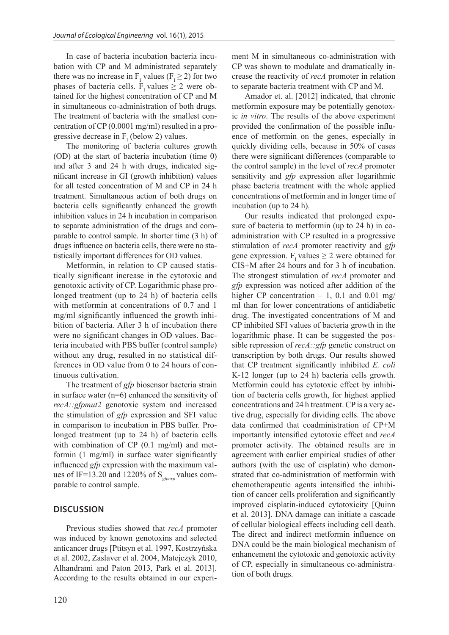In case of bacteria incubation bacteria incubation with CP and M administrated separately there was no increase in  $F_I$  values ( $F_I \ge 2$ ) for two phases of bacteria cells. F<sub>r</sub> values  $\geq 2$  were obtained for the highest concentration of CP and M in simultaneous co-administration of both drugs. The treatment of bacteria with the smallest concentration of CP (0.0001 mg/ml) resulted in a progressive decrease in  $F_I$  (below 2) values.

The monitoring of bacteria cultures growth (OD) at the start of bacteria incubation (time 0) and after 3 and 24 h with drugs, indicated significant increase in GI (growth inhibition) values for all tested concentration of M and CP in 24 h treatment. Simultaneous action of both drugs on bacteria cells significantly enhanced the growth inhibition values in 24 h incubation in comparison to separate administration of the drugs and comparable to control sample. In shorter time (3 h) of drugs influence on bacteria cells, there were no statistically important differences for OD values.

Metformin, in relation to CP caused statistically significant increase in the cytotoxic and genotoxic activity of CP. Logarithmic phase prolonged treatment (up to 24 h) of bacteria cells with metformin at concentrations of 0.7 and 1 mg/ml significantly influenced the growth inhibition of bacteria. After 3 h of incubation there were no significant changes in OD values. Bacteria incubated with PBS buffer (control sample) without any drug, resulted in no statistical differences in OD value from 0 to 24 hours of continuous cultivation.

The treatment of *gfp* biosensor bacteria strain in surface water (n=6) enhanced the sensitivity of *recA::gfpmut2* genotoxic system and increased the stimulation of *gfp* expression and SFI value in comparison to incubation in PBS buffer. Prolonged treatment (up to 24 h) of bacteria cells with combination of CP (0.1 mg/ml) and metformin (1 mg/ml) in surface water significantly influenced *gfp* expression with the maximum values of IF=13.20 and 1220% of S<sub>ofpexp</sub> values comparable to control sample.

# **DISCUSSION**

Previous studies showed that *recA* promoter was induced by known genotoxins and selected anticancer drugs [Ptitsyn et al. 1997, Kostrzyńska et al. 2002, Zaslaver et al. 2004, Matejczyk 2010, Alhandrami and Paton 2013, Park et al. 2013]. According to the results obtained in our experiment M in simultaneous co-administration with CP was shown to modulate and dramatically increase the reactivity of *recA* promoter in relation to separate bacteria treatment with CP and M.

Amador et. al. [2012] indicated, that chronic metformin exposure may be potentially genotoxic *in vitro*. The results of the above experiment provided the confirmation of the possible influence of metformin on the genes, especially in quickly dividing cells, because in 50% of cases there were significant differences (comparable to the control sample) in the level of *recA* promoter sensitivity and *gfp* expression after logarithmic phase bacteria treatment with the whole applied concentrations of metformin and in longer time of incubation (up to 24 h).

Our results indicated that prolonged exposure of bacteria to metformin (up to 24 h) in coadministration with CP resulted in a progressive stimulation of *recA* promoter reactivity and *gfp*  gene expression. F<sub>1</sub> values  $\geq 2$  were obtained for CIS+M after 24 hours and for 3 h of incubation. The strongest stimulation of *recA* promoter and *gfp* expression was noticed after addition of the higher CP concentration  $-1$ , 0.1 and 0.01 mg/ ml than for lower concentrations of antidiabetic drug. The investigated concentrations of M and CP inhibited SFI values of bacteria growth in the logarithmic phase. It can be suggested the possible repression of *recA::gfp* genetic construct on transcription by both drugs. Our results showed that CP treatment significantly inhibited *E. coli* K-12 longer (up to 24 h) bacteria cells growth. Metformin could has cytotoxic effect by inhibition of bacteria cells growth, for highest applied concentrations and 24 h treatment. CP is a very active drug, especially for dividing cells. The above data confirmed that coadministration of CP+M importantly intensified cytotoxic effect and *recA* promoter activity. The obtained results are in agreement with earlier empirical studies of other authors (with the use of cisplatin) who demonstrated that co-administration of metformin with chemotherapeutic agents intensified the inhibition of cancer cells proliferation and significantly improved cisplatin-induced cytotoxicity [Quinn et al. 2013]. DNA damage can initiate a cascade of cellular biological effects including cell death. The direct and indirect metformin influence on DNA could be the main biological mechanism of enhancement the cytotoxic and genotoxic activity of CP, especially in simultaneous co-administration of both drugs.